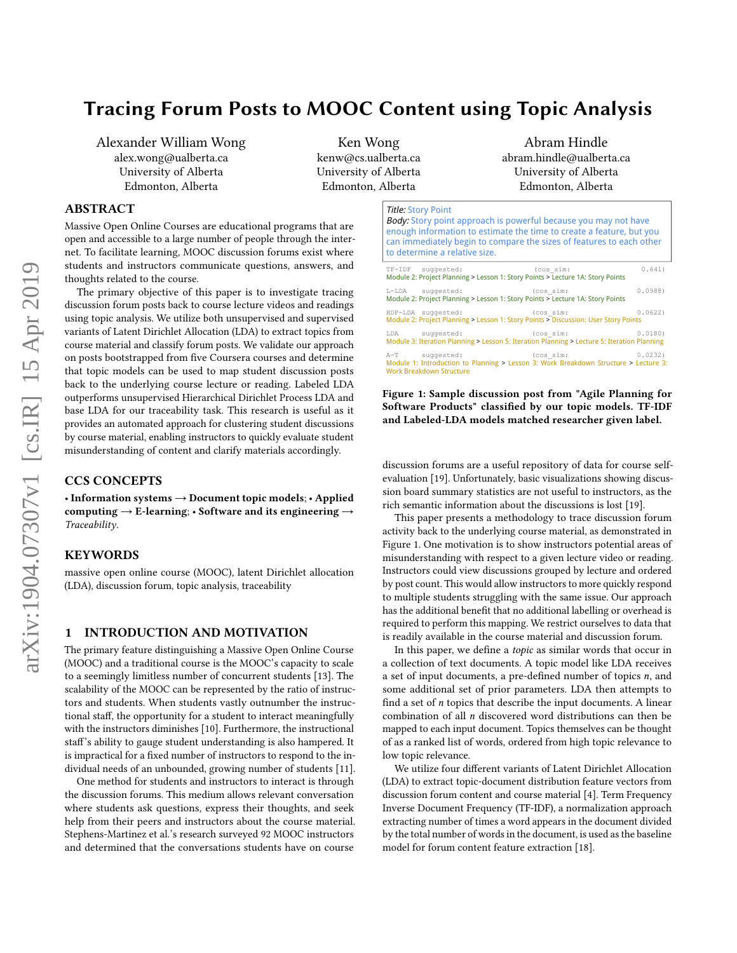# Tracing Forum Posts to MOOC Content using Topic Analysis

Alexander William Wong alex.wong@ualberta.ca University of Alberta Edmonton, Alberta

Ken Wong kenw@cs.ualberta.ca University of Alberta Edmonton, Alberta

# ABSTRACT

Massive Open Online Courses are educational programs that are open and accessible to a large number of people through the internet. To facilitate learning, MOOC discussion forums exist where students and instructors communicate questions, answers, and thoughts related to the course.

The primary objective of this paper is to investigate tracing discussion forum posts back to course lecture videos and readings using topic analysis. We utilize both unsupervised and supervised variants of Latent Dirichlet Allocation (LDA) to extract topics from course material and classify forum posts. We validate our approach on posts bootstrapped from five Coursera courses and determine that topic models can be used to map student discussion posts back to the underlying course lecture or reading. Labeled LDA outperforms unsupervised Hierarchical Dirichlet Process LDA and base LDA for our traceability task. This research is useful as it provides an automated approach for clustering student discussions by course material, enabling instructors to quickly evaluate student misunderstanding of content and clarify materials accordingly.

#### CCS CONCEPTS

• Information systems  $\rightarrow$  Document topic models; • Applied computing  $\rightarrow$  E-learning; • Software and its engineering  $\rightarrow$ Traceability.

# **KEYWORDS**

massive open online course (MOOC), latent Dirichlet allocation (LDA), discussion forum, topic analysis, traceability

#### 1 INTRODUCTION AND MOTIVATION

The primary feature distinguishing a Massive Open Online Course (MOOC) and a traditional course is the MOOC's capacity to scale to a seemingly limitless number of concurrent students [\[13\]](#page-5-0). The scalability of the MOOC can be represented by the ratio of instructors and students. When students vastly outnumber the instructional staff, the opportunity for a student to interact meaningfully with the instructors diminishes [\[10\]](#page-5-1). Furthermore, the instructional staff's ability to gauge student understanding is also hampered. It is impractical for a fixed number of instructors to respond to the individual needs of an unbounded, growing number of students [\[11\]](#page-5-2).

One method for students and instructors to interact is through the discussion forums. This medium allows relevant conversation where students ask questions, express their thoughts, and seek help from their peers and instructors about the course material. [Stephens-Martinez et al.'](#page-5-3)s research surveyed 92 MOOC instructors and determined that the conversations students have on course

Abram Hindle abram.hindle@ualberta.ca University of Alberta Edmonton, Alberta

# <span id="page-0-0"></span>Title: Story Point

| <b>Body:</b> Story point approach is powerful because you may not have<br>enough information to estimate the time to create a feature, but you<br>can immediately begin to compare the sizes of features to each other<br>to determine a relative size. |        |        |
|---------------------------------------------------------------------------------------------------------------------------------------------------------------------------------------------------------------------------------------------------------|--------|--------|
| TF-IDF suggested:<br>(cos sim:<br>Module 2: Project Planning > Lesson 1: Story Points > Lecture 1A: Story Points                                                                                                                                        |        | 0.641) |
| L-LDA suggested: (cos sim:<br>Module 2: Project Planning > Lesson 1: Story Points > Lecture 1A: Story Points                                                                                                                                            |        | 0.0988 |
| HDP-LDA suggested: (cos sim:<br>Module 2: Project Planning > Lesson 1: Story Points > Discussion: User Story Points                                                                                                                                     | 0.0622 |        |
| LDA suggested: (cos sim: 0.0180)<br>Module 3: Iteration Planning > Lesson 5: Iteration Planning > Lecture 5: Iteration Planning                                                                                                                         |        |        |
| A-T suggested: (cos_sim: 0.0232)<br>Module 1: Introduction to Planning > Lesson 3: Work Breakdown Structure > Lecture 3:<br><b>Work Breakdown Structure</b>                                                                                             |        |        |

Figure 1: Sample discussion post from "Agile Planning for Software Products" classified by our topic models. TF-IDF and Labeled-LDA models matched researcher given label.

discussion forums are a useful repository of data for course selfevaluation [\[19\]](#page-5-3). Unfortunately, basic visualizations showing discussion board summary statistics are not useful to instructors, as the rich semantic information about the discussions is lost [\[19\]](#page-5-3).

This paper presents a methodology to trace discussion forum activity back to the underlying course material, as demonstrated in Figure [1.](#page-0-0) One motivation is to show instructors potential areas of misunderstanding with respect to a given lecture video or reading. Instructors could view discussions grouped by lecture and ordered by post count. This would allow instructors to more quickly respond to multiple students struggling with the same issue. Our approach has the additional benefit that no additional labelling or overhead is required to perform this mapping. We restrict ourselves to data that is readily available in the course material and discussion forum.

In this paper, we define a topic as similar words that occur in a collection of text documents. A topic model like LDA receives a set of input documents, a pre-defined number of topics  $n$ , and some additional set of prior parameters. LDA then attempts to find a set of  $n$  topics that describe the input documents. A linear combination of all  $n$  discovered word distributions can then be mapped to each input document. Topics themselves can be thought of as a ranked list of words, ordered from high topic relevance to low topic relevance.

We utilize four different variants of Latent Dirichlet Allocation (LDA) to extract topic-document distribution feature vectors from discussion forum content and course material [\[4\]](#page-5-4). Term Frequency Inverse Document Frequency (TF-IDF), a normalization approach extracting number of times a word appears in the document divided by the total number of words in the document, is used as the baseline model for forum content feature extraction [\[18\]](#page-5-5).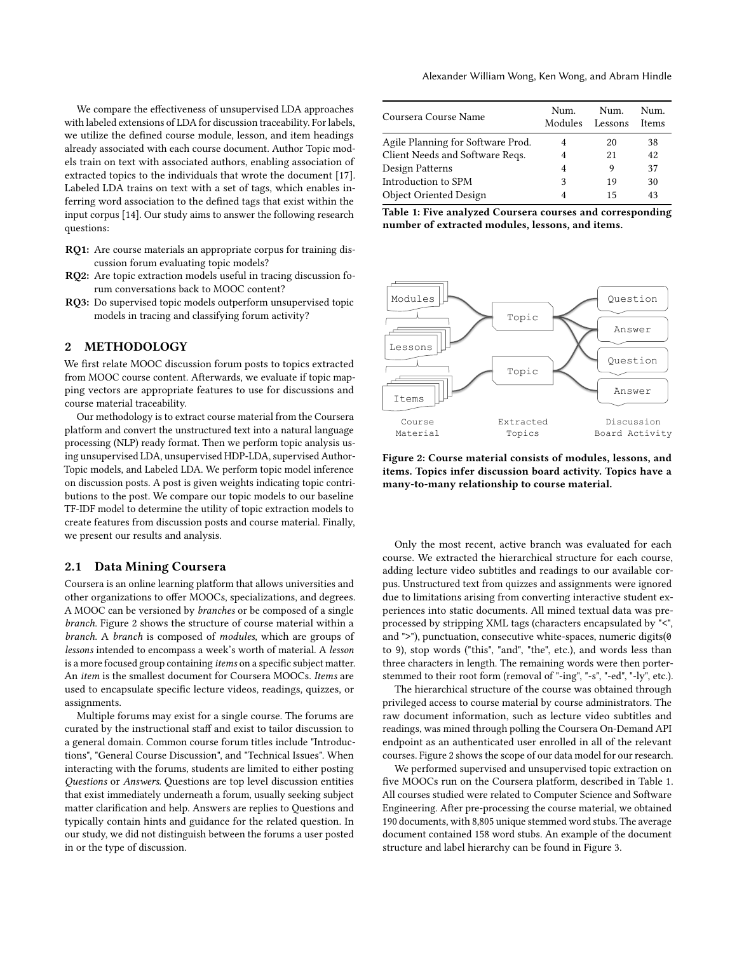We compare the effectiveness of unsupervised LDA approaches with labeled extensions of LDA for discussion traceability. For labels, we utilize the defined course module, lesson, and item headings already associated with each course document. Author Topic models train on text with associated authors, enabling association of extracted topics to the individuals that wrote the document [\[17\]](#page-5-6). Labeled LDA trains on text with a set of tags, which enables inferring word association to the defined tags that exist within the input corpus [\[14\]](#page-5-7). Our study aims to answer the following research questions:

- RQ1: Are course materials an appropriate corpus for training discussion forum evaluating topic models?
- RQ2: Are topic extraction models useful in tracing discussion forum conversations back to MOOC content?
- RQ3: Do supervised topic models outperform unsupervised topic models in tracing and classifying forum activity?

# 2 METHODOLOGY

We first relate MOOC discussion forum posts to topics extracted from MOOC course content. Afterwards, we evaluate if topic mapping vectors are appropriate features to use for discussions and course material traceability.

Our methodology is to extract course material from the Coursera platform and convert the unstructured text into a natural language processing (NLP) ready format. Then we perform topic analysis using unsupervised LDA, unsupervised HDP-LDA, supervised Author-Topic models, and Labeled LDA. We perform topic model inference on discussion posts. A post is given weights indicating topic contributions to the post. We compare our topic models to our baseline TF-IDF model to determine the utility of topic extraction models to create features from discussion posts and course material. Finally, we present our results and analysis.

#### 2.1 Data Mining Coursera

Coursera is an online learning platform that allows universities and other organizations to offer MOOCs, specializations, and degrees. A MOOC can be versioned by branches or be composed of a single branch. Figure [2](#page-1-0) shows the structure of course material within a branch. A branch is composed of modules, which are groups of lessons intended to encompass a week's worth of material. A lesson is a more focused group containing items on a specific subject matter. An item is the smallest document for Coursera MOOCs. Items are used to encapsulate specific lecture videos, readings, quizzes, or assignments.

Multiple forums may exist for a single course. The forums are curated by the instructional staff and exist to tailor discussion to a general domain. Common course forum titles include "Introductions", "General Course Discussion", and "Technical Issues". When interacting with the forums, students are limited to either posting Questions or Answers. Questions are top level discussion entities that exist immediately underneath a forum, usually seeking subject matter clarification and help. Answers are replies to Questions and typically contain hints and guidance for the related question. In our study, we did not distinguish between the forums a user posted in or the type of discussion.

<span id="page-1-1"></span>

| Coursera Course Name              | Num.<br>Modules | Num.<br>Lessons | Num.<br>Items |
|-----------------------------------|-----------------|-----------------|---------------|
| Agile Planning for Software Prod. | 4               | 20              | 38            |
| Client Needs and Software Reqs.   | 4               | 21              | 42            |
| Design Patterns                   | 4               | 9               | 37            |
| Introduction to SPM               | 3               | 19              | 30            |
| <b>Object Oriented Design</b>     | 4               | 15              | 43            |

Table 1: Five analyzed Coursera courses and corresponding number of extracted modules, lessons, and items.

<span id="page-1-0"></span>

Figure 2: Course material consists of modules, lessons, and items. Topics infer discussion board activity. Topics have a many-to-many relationship to course material.

Only the most recent, active branch was evaluated for each course. We extracted the hierarchical structure for each course, adding lecture video subtitles and readings to our available corpus. Unstructured text from quizzes and assignments were ignored due to limitations arising from converting interactive student experiences into static documents. All mined textual data was preprocessed by stripping XML tags (characters encapsulated by "<", and ">"), punctuation, consecutive white-spaces, numeric digits(0 to 9), stop words ("this", "and", "the", etc.), and words less than three characters in length. The remaining words were then porterstemmed to their root form (removal of "-ing", "-s", "-ed", "-ly", etc.).

The hierarchical structure of the course was obtained through privileged access to course material by course administrators. The raw document information, such as lecture video subtitles and readings, was mined through polling the Coursera On-Demand API endpoint as an authenticated user enrolled in all of the relevant courses. Figure [2](#page-1-0) shows the scope of our data model for our research.

We performed supervised and unsupervised topic extraction on five MOOCs run on the Coursera platform, described in Table [1.](#page-1-1) All courses studied were related to Computer Science and Software Engineering. After pre-processing the course material, we obtained 190 documents, with 8,805 unique stemmed word stubs. The average document contained 158 word stubs. An example of the document structure and label hierarchy can be found in Figure [3.](#page-2-0)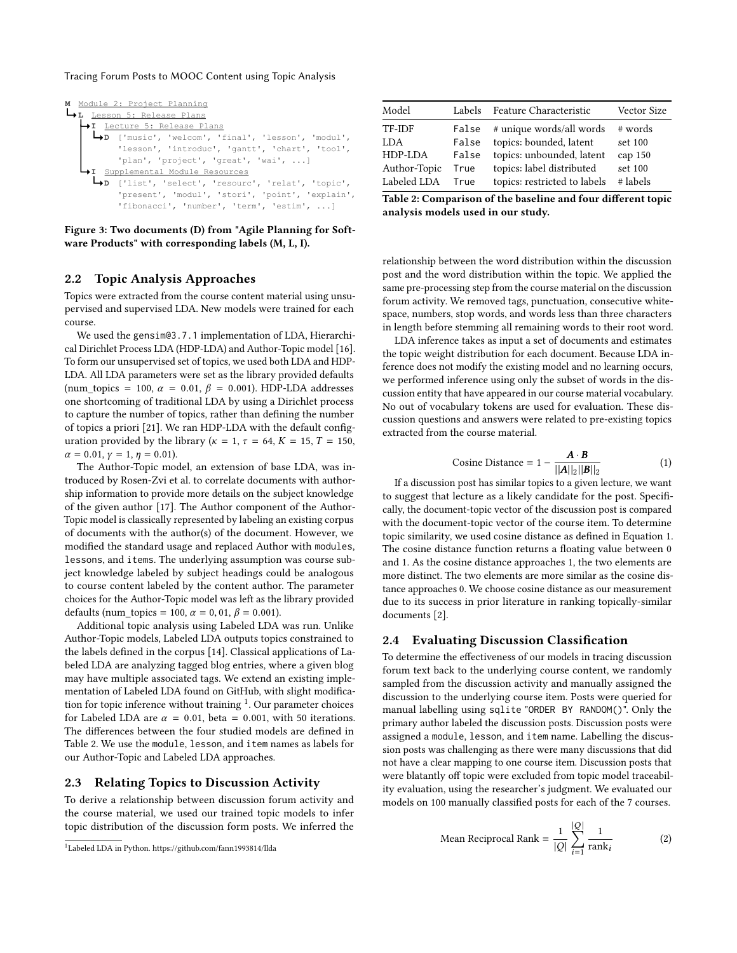#### Tracing Forum Posts to MOOC Content using Topic Analysis

<span id="page-2-0"></span>

Figure 3: Two documents (D) from "Agile Planning for Software Products" with corresponding labels (M, L, I).

## 2.2 Topic Analysis Approaches

Topics were extracted from the course content material using unsupervised and supervised LDA. New models were trained for each course.

We used the gensim@3.7.1 implementation of LDA, Hierarchical Dirichlet Process LDA (HDP-LDA) and Author-Topic model [\[16\]](#page-5-8). To form our unsupervised set of topics, we used both LDA and HDP-LDA. All LDA parameters were set as the library provided defaults (num\_topics = 100,  $\alpha$  = 0.01,  $\beta$  = 0.001). HDP-LDA addresses one shortcoming of traditional LDA by using a Dirichlet process to capture the number of topics, rather than defining the number of topics a priori [\[21\]](#page-5-9). We ran HDP-LDA with the default configuration provided by the library ( $\kappa = 1$ ,  $\tau = 64$ ,  $K = 15$ ,  $T = 150$ ,  $\alpha = 0.01, \gamma = 1, \eta = 0.01$ .

The Author-Topic model, an extension of base LDA, was introduced by [Rosen-Zvi et al.](#page-5-6) to correlate documents with authorship information to provide more details on the subject knowledge of the given author [\[17\]](#page-5-6). The Author component of the Author-Topic model is classically represented by labeling an existing corpus of documents with the author(s) of the document. However, we modified the standard usage and replaced Author with modules, lessons, and items. The underlying assumption was course subject knowledge labeled by subject headings could be analogous to course content labeled by the content author. The parameter choices for the Author-Topic model was left as the library provided defaults (num\_topics = 100,  $\alpha$  = 0, 01,  $\beta$  = 0.001).

Additional topic analysis using Labeled LDA was run. Unlike Author-Topic models, Labeled LDA outputs topics constrained to the labels defined in the corpus [\[14\]](#page-5-7). Classical applications of Labeled LDA are analyzing tagged blog entries, where a given blog may have multiple associated tags. We extend an existing implementation of Labeled LDA found on GitHub, with slight modification for topic inference without training  $1$ . Our parameter choices for Labeled LDA are  $\alpha = 0.01$ , beta = 0.001, with 50 iterations. The differences between the four studied models are defined in Table [2.](#page-2-2) We use the module, lesson, and item names as labels for our Author-Topic and Labeled LDA approaches.

#### 2.3 Relating Topics to Discussion Activity

To derive a relationship between discussion forum activity and the course material, we used our trained topic models to infer topic distribution of the discussion form posts. We inferred the

<span id="page-2-2"></span>

| Model                       | Labels         | Feature Characteristic                                    | Vector Size          |
|-----------------------------|----------------|-----------------------------------------------------------|----------------------|
| TF-IDF                      | False          | # unique words/all words                                  | # words              |
| LDA<br>HDP-LDA              | False<br>False | topics: bounded, latent<br>topics: unbounded, latent      | set 100<br>cap $150$ |
| Author-Topic<br>Labeled LDA | True<br>True   | topics: label distributed<br>topics: restricted to labels | set 100<br># labels  |
|                             |                |                                                           |                      |

Table 2: Comparison of the baseline and four different topic analysis models used in our study.

relationship between the word distribution within the discussion post and the word distribution within the topic. We applied the same pre-processing step from the course material on the discussion forum activity. We removed tags, punctuation, consecutive whitespace, numbers, stop words, and words less than three characters in length before stemming all remaining words to their root word.

LDA inference takes as input a set of documents and estimates the topic weight distribution for each document. Because LDA inference does not modify the existing model and no learning occurs, we performed inference using only the subset of words in the discussion entity that have appeared in our course material vocabulary. No out of vocabulary tokens are used for evaluation. These discussion questions and answers were related to pre-existing topics extracted from the course material.

<span id="page-2-3"></span>Cosine Distance = 
$$
1 - \frac{A \cdot B}{||A||_2 ||B||_2}
$$
 (1)

 $\text{[A||2||B||2}$   $\text{[A||2||B||2}$   $\text{[Cone Distance]} = \frac{1}{2}$ to suggest that lecture as a likely candidate for the post. Specifically, the document-topic vector of the discussion post is compared with the document-topic vector of the course item. To determine topic similarity, we used cosine distance as defined in Equation [1.](#page-2-3) The cosine distance function returns a floating value between 0 and 1. As the cosine distance approaches 1, the two elements are more distinct. The two elements are more similar as the cosine distance approaches 0. We choose cosine distance as our measurement due to its success in prior literature in ranking topically-similar documents [\[2\]](#page-5-10).

#### 2.4 Evaluating Discussion Classification

To determine the effectiveness of our models in tracing discussion forum text back to the underlying course content, we randomly sampled from the discussion activity and manually assigned the discussion to the underlying course item. Posts were queried for manual labelling using sqlite "ORDER BY RANDOM()". Only the primary author labeled the discussion posts. Discussion posts were assigned a module, lesson, and item name. Labelling the discussion posts was challenging as there were many discussions that did not have a clear mapping to one course item. Discussion posts that were blatantly off topic were excluded from topic model traceability evaluation, using the researcher's judgment. We evaluated our models on 100 manually classified posts for each of the 7 courses.

<span id="page-2-4"></span>Mean Reciprocal Rank = 
$$
\frac{1}{|Q|} \sum_{i=1}^{|Q|} \frac{1}{\text{rank}_i}
$$
 (2)

<span id="page-2-1"></span><sup>1</sup>Labeled LDA in Python.<https://github.com/fann1993814/llda>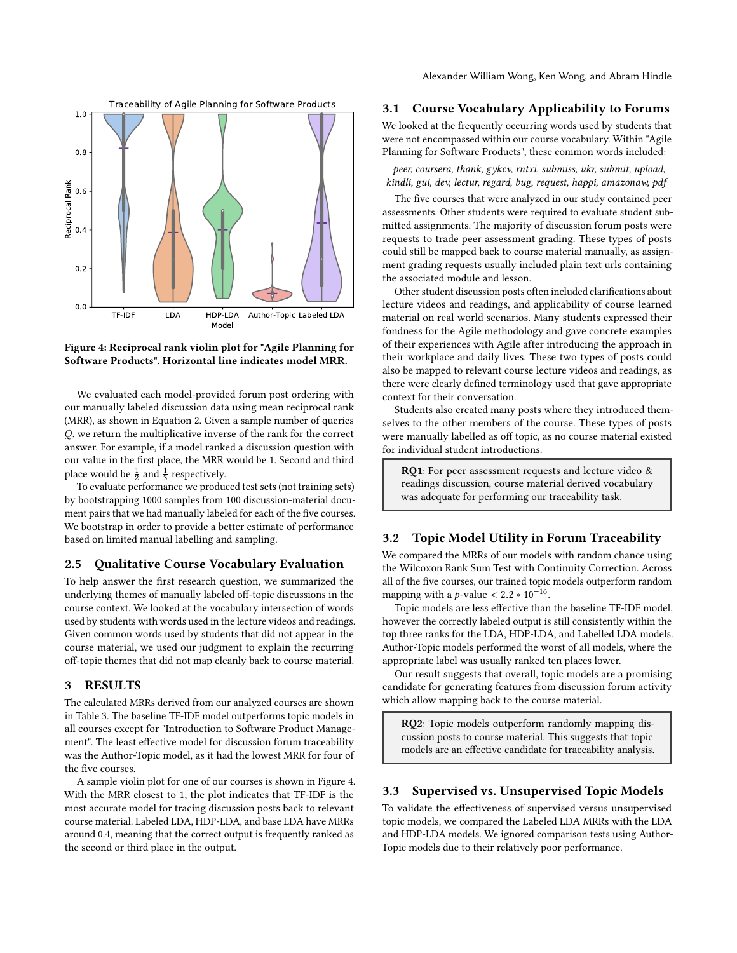Alexander William Wong, Ken Wong, and Abram Hindle

<span id="page-3-0"></span>

# Figure 4: Reciprocal rank violin plot for "Agile Planning for Software Products". Horizontal line indicates model MRR.

We evaluated each model-provided forum post ordering with our manually labeled discussion data using mean reciprocal rank (MRR), as shown in Equation [2.](#page-2-4) Given a sample number of queries Q, we return the multiplicative inverse of the rank for the correct answer. For example, if a model ranked a discussion question with our value in the first place, the MRR would be 1. Second and third place would be  $\frac{1}{2}$  and  $\frac{1}{3}$  respectively.

To evaluate performance we produced test sets (not training sets) by bootstrapping 1000 samples from 100 discussion-material document pairs that we had manually labeled for each of the five courses. We bootstrap in order to provide a better estimate of performance based on limited manual labelling and sampling.

# 2.5 Qualitative Course Vocabulary Evaluation

To help answer the first research question, we summarized the underlying themes of manually labeled off-topic discussions in the course context. We looked at the vocabulary intersection of words used by students with words used in the lecture videos and readings. Given common words used by students that did not appear in the course material, we used our judgment to explain the recurring off-topic themes that did not map cleanly back to course material.

#### 3 RESULTS

The calculated MRRs derived from our analyzed courses are shown in Table [3.](#page-4-0) The baseline TF-IDF model outperforms topic models in all courses except for "Introduction to Software Product Management". The least effective model for discussion forum traceability was the Author-Topic model, as it had the lowest MRR for four of the five courses.

A sample violin plot for one of our courses is shown in Figure [4.](#page-3-0) With the MRR closest to 1, the plot indicates that TF-IDF is the most accurate model for tracing discussion posts back to relevant course material. Labeled LDA, HDP-LDA, and base LDA have MRRs around 0.4, meaning that the correct output is frequently ranked as the second or third place in the output.

#### 3.1 Course Vocabulary Applicability to Forums

We looked at the frequently occurring words used by students that were not encompassed within our course vocabulary. Within "Agile Planning for Software Products", these common words included:

peer, coursera, thank, gykcv, rntxi, submiss, ukr, submit, upload, kindli, gui, dev, lectur, regard, bug, request, happi, amazonaw, pdf

The five courses that were analyzed in our study contained peer assessments. Other students were required to evaluate student submitted assignments. The majority of discussion forum posts were requests to trade peer assessment grading. These types of posts could still be mapped back to course material manually, as assignment grading requests usually included plain text urls containing the associated module and lesson.

Other student discussion posts often included clarifications about lecture videos and readings, and applicability of course learned material on real world scenarios. Many students expressed their fondness for the Agile methodology and gave concrete examples of their experiences with Agile after introducing the approach in their workplace and daily lives. These two types of posts could also be mapped to relevant course lecture videos and readings, as there were clearly defined terminology used that gave appropriate context for their conversation.

Students also created many posts where they introduced themselves to the other members of the course. These types of posts were manually labelled as off topic, as no course material existed for individual student introductions.

RQ1: For peer assessment requests and lecture video & readings discussion, course material derived vocabulary was adequate for performing our traceability task.

# 3.2 Topic Model Utility in Forum Traceability

We compared the MRRs of our models with random chance using the Wilcoxon Rank Sum Test with Continuity Correction. Across all of the five courses, our trained topic models outperform random mapping with a p-value  $\lt 2.2 * 10^{-16}$ .<br>Topic models are less effective than

Topic models are less effective than the baseline TF-IDF model, however the correctly labeled output is still consistently within the top three ranks for the LDA, HDP-LDA, and Labelled LDA models. Author-Topic models performed the worst of all models, where the appropriate label was usually ranked ten places lower.

Our result suggests that overall, topic models are a promising candidate for generating features from discussion forum activity which allow mapping back to the course material.

RQ2: Topic models outperform randomly mapping discussion posts to course material. This suggests that topic models are an effective candidate for traceability analysis.

# 3.3 Supervised vs. Unsupervised Topic Models

To validate the effectiveness of supervised versus unsupervised topic models, we compared the Labeled LDA MRRs with the LDA and HDP-LDA models. We ignored comparison tests using Author-Topic models due to their relatively poor performance.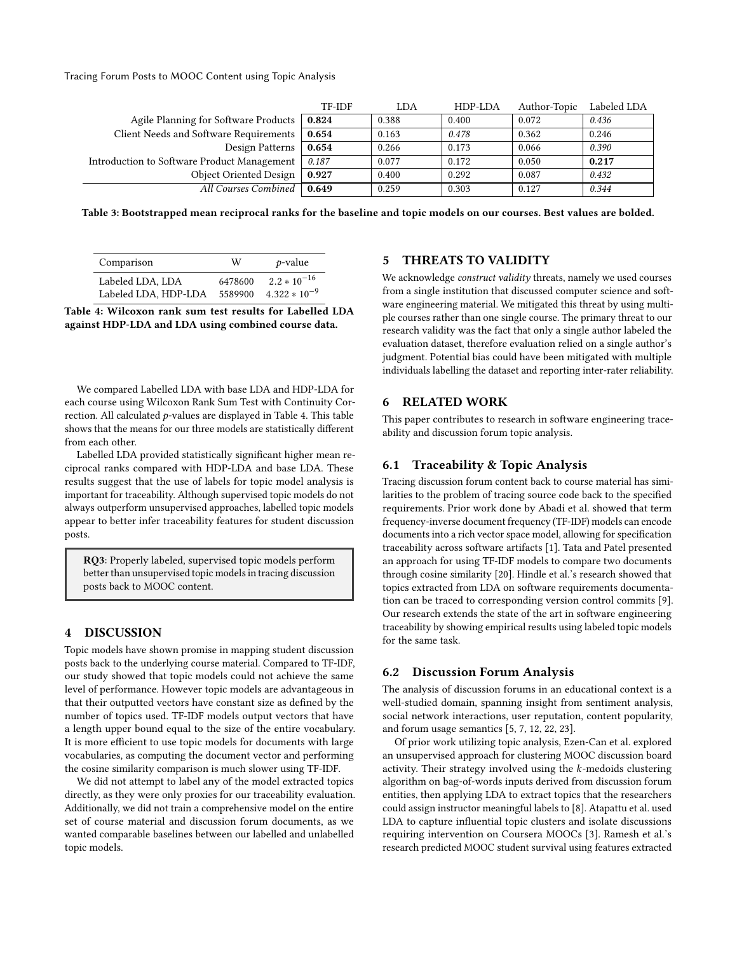Tracing Forum Posts to MOOC Content using Topic Analysis

<span id="page-4-0"></span>

|                                             | TF-IDF | LDA   | HDP-LDA | Author-Topic | Labeled LDA |
|---------------------------------------------|--------|-------|---------|--------------|-------------|
| Agile Planning for Software Products        | 0.824  | 0.388 | 0.400   | 0.072        | 0.436       |
| Client Needs and Software Requirements      | 0.654  | 0.163 | 0.478   | 0.362        | 0.246       |
| Design Patterns                             | 0.654  | 0.266 | 0.173   | 0.066        | 0.390       |
| Introduction to Software Product Management | 0.187  | 0.077 | 0.172   | 0.050        | 0.217       |
| Object Oriented Design                      | 0.927  | 0.400 | 0.292   | 0.087        | 0.432       |
| All Courses Combined                        | 0.649  | 0.259 | 0.303   | 0.127        | 0.344       |

Table 3: Bootstrapped mean reciprocal ranks for the baseline and topic models on our courses. Best values are bolded.

<span id="page-4-1"></span>

| Comparison                                               | W       | $p$ -value        |
|----------------------------------------------------------|---------|-------------------|
| Labeled LDA. LDA                                         | 6478600 | $2.2 * 10^{-16}$  |
| Labeled LDA. HDP-LDA                                     | 5589900 | $4.322 * 10^{-9}$ |
| Table 4: Wilcoxon rank sum test results for Labelled LDA |         |                   |

against HDP-LDA and LDA using combined course data.

We compared Labelled LDA with base LDA and HDP-LDA for each course using Wilcoxon Rank Sum Test with Continuity Correction. All calculated p-values are displayed in Table [4.](#page-4-1) This table shows that the means for our three models are statistically different from each other.

Labelled LDA provided statistically significant higher mean reciprocal ranks compared with HDP-LDA and base LDA. These results suggest that the use of labels for topic model analysis is important for traceability. Although supervised topic models do not always outperform unsupervised approaches, labelled topic models appear to better infer traceability features for student discussion posts.

RQ3: Properly labeled, supervised topic models perform better than unsupervised topic models in tracing discussion posts back to MOOC content.

# 4 DISCUSSION

Topic models have shown promise in mapping student discussion posts back to the underlying course material. Compared to TF-IDF, our study showed that topic models could not achieve the same level of performance. However topic models are advantageous in that their outputted vectors have constant size as defined by the number of topics used. TF-IDF models output vectors that have a length upper bound equal to the size of the entire vocabulary. It is more efficient to use topic models for documents with large vocabularies, as computing the document vector and performing the cosine similarity comparison is much slower using TF-IDF.

We did not attempt to label any of the model extracted topics directly, as they were only proxies for our traceability evaluation. Additionally, we did not train a comprehensive model on the entire set of course material and discussion forum documents, as we wanted comparable baselines between our labelled and unlabelled topic models.

#### 5 THREATS TO VALIDITY

We acknowledge construct validity threats, namely we used courses from a single institution that discussed computer science and software engineering material. We mitigated this threat by using multiple courses rather than one single course. The primary threat to our research validity was the fact that only a single author labeled the evaluation dataset, therefore evaluation relied on a single author's judgment. Potential bias could have been mitigated with multiple individuals labelling the dataset and reporting inter-rater reliability.

#### 6 RELATED WORK

This paper contributes to research in software engineering traceability and discussion forum topic analysis.

#### 6.1 Traceability & Topic Analysis

Tracing discussion forum content back to course material has similarities to the problem of tracing source code back to the specified requirements. Prior work done by [Abadi et al.](#page-5-11) showed that term frequency-inverse document frequency (TF-IDF) models can encode documents into a rich vector space model, allowing for specification traceability across software artifacts [\[1\]](#page-5-11). [Tata and Patel](#page-5-12) presented an approach for using TF-IDF models to compare two documents through cosine similarity [\[20\]](#page-5-12). [Hindle et al.'](#page-5-13)s research showed that topics extracted from LDA on software requirements documentation can be traced to corresponding version control commits [\[9\]](#page-5-13). Our research extends the state of the art in software engineering traceability by showing empirical results using labeled topic models for the same task.

#### 6.2 Discussion Forum Analysis

The analysis of discussion forums in an educational context is a well-studied domain, spanning insight from sentiment analysis, social network interactions, user reputation, content popularity, and forum usage semantics [\[5,](#page-5-14) [7,](#page-5-15) [12,](#page-5-16) [22,](#page-5-17) [23\]](#page-5-18).

Of prior work utilizing topic analysis, [Ezen-Can et al.](#page-5-19) explored an unsupervised approach for clustering MOOC discussion board activity. Their strategy involved using the k-medoids clustering algorithm on bag-of-words inputs derived from discussion forum entities, then applying LDA to extract topics that the researchers could assign instructor meaningful labels to [\[8\]](#page-5-19). [Atapattu et al.](#page-5-20) used LDA to capture influential topic clusters and isolate discussions requiring intervention on Coursera MOOCs [\[3\]](#page-5-20). [Ramesh et al.'](#page-5-21)s research predicted MOOC student survival using features extracted